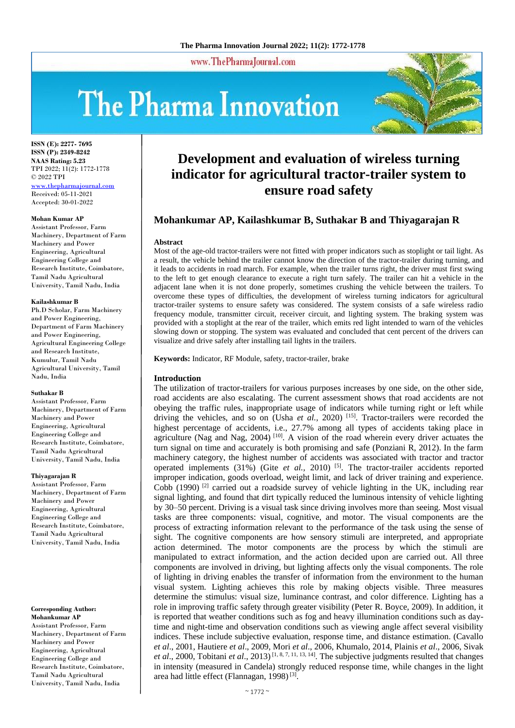#### www.ThePharmaJournal.com

# The Pharma Innovation



**ISSN (E): 2277- 7695 ISSN (P): 2349-8242 NAAS Rating: 5.23** TPI 2022; 11(2): 1772-1778 © 2022 TPI <www.thepharmajournal.com> Received: 05-11-2021 Accepted: 30-01-2022

#### **Mohan Kumar AP**

Assistant Professor, Farm Machinery, Department of Farm Machinery and Power Engineering, Agricultural Engineering College and Research Institute, Coimbatore, Tamil Nadu Agricultural University, Tamil Nadu, India

#### **Kailashkumar B**

Ph.D Scholar, Farm Machinery and Power Engineering, Department of Farm Machinery and Power Engineering, Agricultural Engineering College and Research Institute, Kumulur, Tamil Nadu Agricultural University, Tamil Nadu, India

#### **Suthakar B**

Assistant Professor, Farm Machinery, Department of Farm Machinery and Power Engineering, Agricultural Engineering College and Research Institute, Coimbatore, Tamil Nadu Agricultural University, Tamil Nadu, India

#### **Thiyagarajan R**

Assistant Professor, Farm Machinery, Department of Farm Machinery and Power Engineering, Agricultural Engineering College and Research Institute, Coimbatore, Tamil Nadu Agricultural University, Tamil Nadu, India

#### **Corresponding Author: Mohankumar AP**

Assistant Professor, Farm Machinery, Department of Farm Machinery and Power Engineering, Agricultural Engineering College and Research Institute, Coimbatore, Tamil Nadu Agricultural University, Tamil Nadu, India

# **Development and evaluation of wireless turning indicator for agricultural tractor-trailer system to ensure road safety**

# **Mohankumar AP, Kailashkumar B, Suthakar B and Thiyagarajan R**

#### **Abstract**

Most of the age-old tractor-trailers were not fitted with proper indicators such as stoplight or tail light. As a result, the vehicle behind the trailer cannot know the direction of the tractor-trailer during turning, and it leads to accidents in road march. For example, when the trailer turns right, the driver must first swing to the left to get enough clearance to execute a right turn safely. The trailer can hit a vehicle in the adjacent lane when it is not done properly, sometimes crushing the vehicle between the trailers. To overcome these types of difficulties, the development of wireless turning indicators for agricultural tractor-trailer systems to ensure safety was considered. The system consists of a safe wireless radio frequency module, transmitter circuit, receiver circuit, and lighting system. The braking system was provided with a stoplight at the rear of the trailer, which emits red light intended to warn of the vehicles slowing down or stopping. The system was evaluated and concluded that cent percent of the drivers can visualize and drive safely after installing tail lights in the trailers.

**Keywords:** Indicator, RF Module, safety, tractor-trailer, brake

#### **Introduction**

The utilization of tractor-trailers for various purposes increases by one side, on the other side, road accidents are also escalating. The current assessment shows that road accidents are not obeying the traffic rules, inappropriate usage of indicators while turning right or left while driving the vehicles, and so on (Usha *et al.*, 2020) <sup>[15]</sup>. Tractor-trailers were recorded the highest percentage of accidents, i.e., 27.7% among all types of accidents taking place in agriculture (Nag and Nag,  $2004$ )<sup>[10]</sup>. A vision of the road wherein every driver actuates the turn signal on time and accurately is both promising and safe (Ponziani R, 2012). In the farm machinery category, the highest number of accidents was associated with tractor and tractor operated implements (31%) (Gite *et al.*, 2010)<sup>[5]</sup>. The tractor-trailer accidents reported improper indication, goods overload, weight limit, and lack of driver training and experience. Cobb  $(1990)$  <sup>[2]</sup> carried out a roadside survey of vehicle lighting in the UK, including rear signal lighting, and found that dirt typically reduced the luminous intensity of vehicle lighting by 30–50 percent. Driving is a visual task since driving involves more than seeing. Most visual tasks are three components: visual, cognitive, and motor. The visual components are the process of extracting information relevant to the performance of the task using the sense of sight. The cognitive components are how sensory stimuli are interpreted, and appropriate action determined. The motor components are the process by which the stimuli are manipulated to extract information, and the action decided upon are carried out. All three components are involved in driving, but lighting affects only the visual components. The role of lighting in driving enables the transfer of information from the environment to the human visual system. Lighting achieves this role by making objects visible. Three measures determine the stimulus: visual size, luminance contrast, and color difference. Lighting has a role in improving traffic safety through greater visibility (Peter R. Boyce, 2009). In addition, it is reported that weather conditions such as fog and heavy illumination conditions such as daytime and night-time and observation conditions such as viewing angle affect several visibility indices. These include subjective evaluation, response time, and distance estimation. (Cavallo *et al*., 2001, Hautiere *et al*., 2009, Mori *et al*., 2006, Khumalo, 2014, Plainis *et al*., 2006, Sivak *et al*., 2000, Tobitani *et al*., 2013) [1, 8, 7, 11, 13, 14] . The subjective judgments resulted that changes in intensity (measured in Candela) strongly reduced response time, while changes in the light area had little effect (Flannagan, 1998)<sup>[3]</sup>.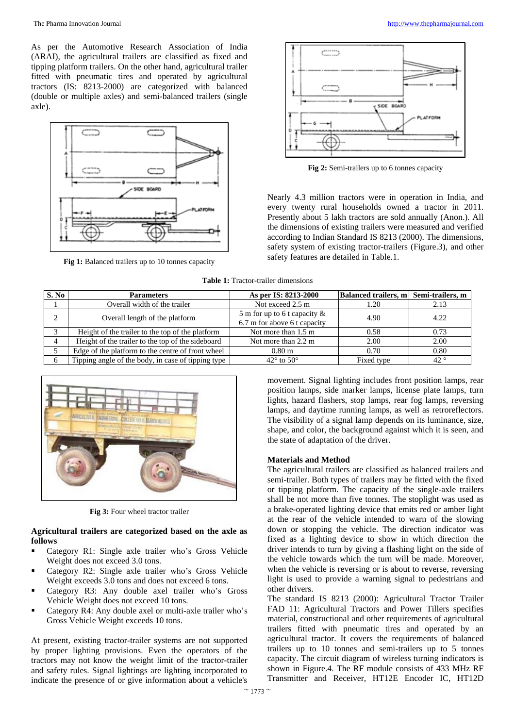As per the Automotive Research Association of India (ARAI), the agricultural trailers are classified as fixed and tipping platform trailers. On the other hand, agricultural trailer fitted with pneumatic tires and operated by agricultural tractors (IS: 8213-2000) are categorized with balanced (double or multiple axles) and semi-balanced trailers (single axle).



**Fig 1:** Balanced trailers up to 10 tonnes capacity



**Fig 2:** Semi-trailers up to 6 tonnes capacity

Nearly 4.3 million tractors were in operation in India, and every twenty rural households owned a tractor in 2011. Presently about 5 lakh tractors are sold annually (Anon.). All the dimensions of existing trailers were measured and verified according to Indian Standard IS 8213 (2000). The dimensions, safety system of existing tractor-trailers (Figure.3), and other safety features are detailed in Table.1.

**Table 1:** Tractor-trailer dimensions

| S. No | <b>Parameters</b>                                  | As per IS: 8213-2000                                            | Balanced trailers, m Semi-trailers, m |              |
|-------|----------------------------------------------------|-----------------------------------------------------------------|---------------------------------------|--------------|
|       | Overall width of the trailer                       | Not exceed 2.5 m                                                | 1.20                                  | 2.13         |
| ◠     | Overall length of the platform                     | 5 m for up to 6 t capacity $\&$<br>6.7 m for above 6 t capacity | 4.90                                  | 4.22         |
|       | Height of the trailer to the top of the platform   | Not more than 1.5 m                                             | 0.58                                  | 0.73         |
|       | Height of the trailer to the top of the sideboard  | Not more than 2.2 m                                             | 2.00                                  | 2.00         |
|       | Edge of the platform to the centre of front wheel  | 0.80 <sub>m</sub>                                               | 0.70                                  | 0.80         |
|       | Tipping angle of the body, in case of tipping type | $42^{\circ}$ to $50^{\circ}$                                    | Fixed type                            | $42^{\circ}$ |



**Fig 3:** Four wheel tractor trailer

## **Agricultural trailers are categorized based on the axle as follows**

- Category R1: Single axle trailer who's Gross Vehicle Weight does not exceed 3.0 tons.
- Category R2: Single axle trailer who's Gross Vehicle Weight exceeds 3.0 tons and does not exceed 6 tons.
- Category R3: Any double axel trailer who's Gross Vehicle Weight does not exceed 10 tons.
- Category R4: Any double axel or multi-axle trailer who's Gross Vehicle Weight exceeds 10 tons.

At present, existing tractor-trailer systems are not supported by proper lighting provisions. Even the operators of the tractors may not know the weight limit of the tractor-trailer and safety rules. Signal lightings are lighting incorporated to indicate the presence of or give information about a vehicle's

movement. Signal lighting includes front position lamps, rear position lamps, side marker lamps, license plate lamps, turn lights, hazard flashers, stop lamps, rear fog lamps, reversing lamps, and daytime running lamps, as well as retroreflectors. The visibility of a signal lamp depends on its luminance, size, shape, and color, the background against which it is seen, and the state of adaptation of the driver.

#### **Materials and Method**

The agricultural trailers are classified as balanced trailers and semi-trailer. Both types of trailers may be fitted with the fixed or tipping platform. The capacity of the single-axle trailers shall be not more than five tonnes. The stoplight was used as a brake-operated lighting device that emits red or amber light at the rear of the vehicle intended to warn of the slowing down or stopping the vehicle. The direction indicator was fixed as a lighting device to show in which direction the driver intends to turn by giving a flashing light on the side of the vehicle towards which the turn will be made. Moreover, when the vehicle is reversing or is about to reverse, reversing light is used to provide a warning signal to pedestrians and other drivers.

The standard IS 8213 (2000): Agricultural Tractor Trailer FAD 11: Agricultural Tractors and Power Tillers specifies material, constructional and other requirements of agricultural trailers fitted with pneumatic tires and operated by an agricultural tractor. It covers the requirements of balanced trailers up to 10 tonnes and semi-trailers up to 5 tonnes capacity. The circuit diagram of wireless turning indicators is shown in Figure.4. The RF module consists of 433 MHz RF Transmitter and Receiver, HT12E Encoder IC, HT12D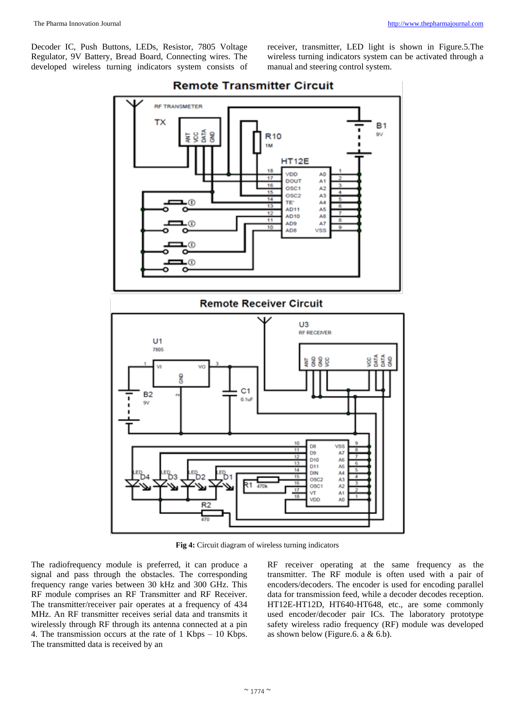Decoder IC, Push Buttons, LEDs, Resistor, 7805 Voltage Regulator, 9V Battery, Bread Board, Connecting wires. The developed wireless turning indicators system consists of receiver, transmitter, LED light is shown in Figure.5.The wireless turning indicators system can be activated through a manual and steering control system.



# **Remote Transmitter Circuit**

**Fig 4:** Circuit diagram of wireless turning indicators

The radiofrequency module is preferred, it can produce a signal and pass through the obstacles. The corresponding frequency range varies between 30 kHz and 300 GHz. This RF module comprises an RF Transmitter and RF Receiver. The transmitter/receiver pair operates at a frequency of 434 MHz. An RF transmitter receives serial data and transmits it wirelessly through RF through its antenna connected at a pin 4. The transmission occurs at the rate of 1 Kbps – 10 Kbps. The transmitted data is received by an

RF receiver operating at the same frequency as the transmitter. The RF module is often used with a pair of encoders/decoders. The encoder is used for encoding parallel data for transmission feed, while a decoder decodes reception. HT12E-HT12D, HT640-HT648, etc., are some commonly used encoder/decoder pair ICs. The laboratory prototype safety wireless radio frequency (RF) module was developed as shown below (Figure.6. a  $& 6.b$ ).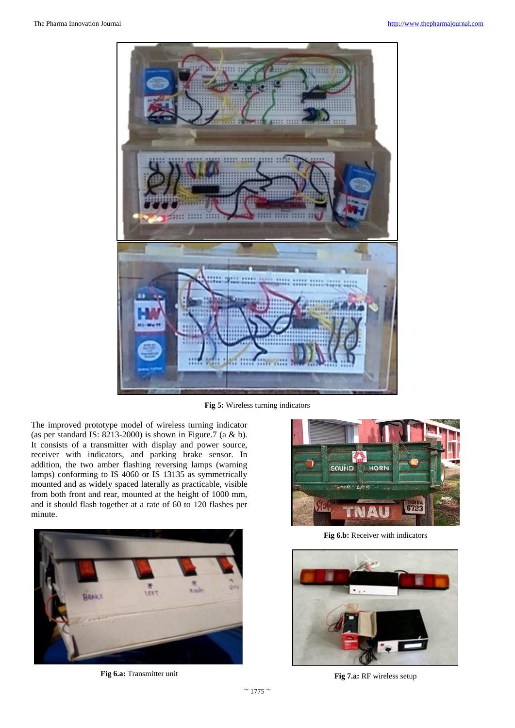

**Fig 5:** Wireless turning indicators

The improved prototype model of wireless turning indicator (as per standard IS: 8213-2000) is shown in Figure.7 (a & b). It consists of a transmitter with display and power source, receiver with indicators, and parking brake sensor. In addition, the two amber flashing reversing lamps (warning lamps) conforming to IS 4060 or IS 13135 as symmetrically mounted and as widely spaced laterally as practicable, visible from both front and rear, mounted at the height of 1000 mm, and it should flash together at a rate of 60 to 120 flashes per minute.



**Fig 6.a:** Transmitter unit



**Fig 6.b:** Receiver with indicators



**Fig 7.a:** RF wireless setup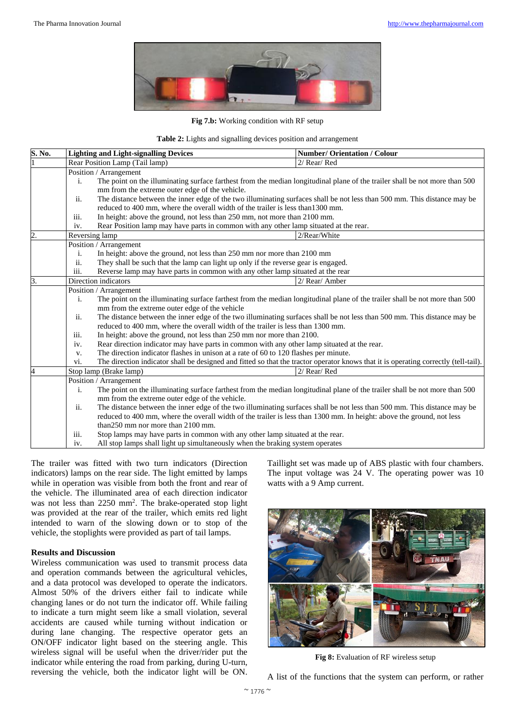

## **Fig 7.b:** Working condition with RF setup

|  |  |  |  |  |  |  |  |  | Table 2: Lights and signalling devices position and arrangement |
|--|--|--|--|--|--|--|--|--|-----------------------------------------------------------------|
|--|--|--|--|--|--|--|--|--|-----------------------------------------------------------------|

| S. No.                                                                                                                                        |                                                                                                                                                                                                                                                                                                                        | <b>Lighting and Light-signalling Devices</b>                                                                                        | <b>Number/ Orientation / Colour</b> |  |  |  |  |
|-----------------------------------------------------------------------------------------------------------------------------------------------|------------------------------------------------------------------------------------------------------------------------------------------------------------------------------------------------------------------------------------------------------------------------------------------------------------------------|-------------------------------------------------------------------------------------------------------------------------------------|-------------------------------------|--|--|--|--|
|                                                                                                                                               | Rear Position Lamp (Tail lamp)                                                                                                                                                                                                                                                                                         |                                                                                                                                     | 2/ Rear/Red                         |  |  |  |  |
|                                                                                                                                               | Position / Arrangement                                                                                                                                                                                                                                                                                                 |                                                                                                                                     |                                     |  |  |  |  |
|                                                                                                                                               | The point on the illuminating surface farthest from the median longitudinal plane of the trailer shall be not more than 500<br>i.<br>mm from the extreme outer edge of the vehicle.<br>The distance between the inner edge of the two illuminating surfaces shall be not less than 500 mm. This distance may be<br>ii. |                                                                                                                                     |                                     |  |  |  |  |
|                                                                                                                                               |                                                                                                                                                                                                                                                                                                                        |                                                                                                                                     |                                     |  |  |  |  |
|                                                                                                                                               |                                                                                                                                                                                                                                                                                                                        |                                                                                                                                     |                                     |  |  |  |  |
|                                                                                                                                               | reduced to 400 mm, where the overall width of the trailer is less than 1300 mm.<br>In height: above the ground, not less than 250 mm, not more than 2100 mm.<br>iii.                                                                                                                                                   |                                                                                                                                     |                                     |  |  |  |  |
|                                                                                                                                               |                                                                                                                                                                                                                                                                                                                        |                                                                                                                                     |                                     |  |  |  |  |
|                                                                                                                                               | Rear Position lamp may have parts in common with any other lamp situated at the rear.<br>iv.                                                                                                                                                                                                                           |                                                                                                                                     |                                     |  |  |  |  |
| $\overline{2}$                                                                                                                                | Reversing lamp                                                                                                                                                                                                                                                                                                         |                                                                                                                                     | 2/Rear/White                        |  |  |  |  |
|                                                                                                                                               |                                                                                                                                                                                                                                                                                                                        | Position / Arrangement                                                                                                              |                                     |  |  |  |  |
|                                                                                                                                               | i.                                                                                                                                                                                                                                                                                                                     | In height: above the ground, not less than 250 mm nor more than 2100 mm                                                             |                                     |  |  |  |  |
|                                                                                                                                               | ii.<br>They shall be such that the lamp can light up only if the reverse gear is engaged.                                                                                                                                                                                                                              |                                                                                                                                     |                                     |  |  |  |  |
|                                                                                                                                               | iii.                                                                                                                                                                                                                                                                                                                   | Reverse lamp may have parts in common with any other lamp situated at the rear                                                      |                                     |  |  |  |  |
| 3.                                                                                                                                            |                                                                                                                                                                                                                                                                                                                        | Direction indicators                                                                                                                | 2/ Rear/ Amber                      |  |  |  |  |
|                                                                                                                                               |                                                                                                                                                                                                                                                                                                                        | Position / Arrangement                                                                                                              |                                     |  |  |  |  |
| $\mathbf{i}$ .<br>The point on the illuminating surface farthest from the median longitudinal plane of the trailer shall be not more than 500 |                                                                                                                                                                                                                                                                                                                        |                                                                                                                                     |                                     |  |  |  |  |
|                                                                                                                                               | mm from the extreme outer edge of the vehicle                                                                                                                                                                                                                                                                          |                                                                                                                                     |                                     |  |  |  |  |
|                                                                                                                                               | The distance between the inner edge of the two illuminating surfaces shall be not less than 500 mm. This distance may be<br>ii.                                                                                                                                                                                        |                                                                                                                                     |                                     |  |  |  |  |
|                                                                                                                                               | reduced to 400 mm, where the overall width of the trailer is less than 1300 mm.                                                                                                                                                                                                                                        |                                                                                                                                     |                                     |  |  |  |  |
|                                                                                                                                               | In height: above the ground, not less than 250 mm nor more than 2100.<br>iii.                                                                                                                                                                                                                                          |                                                                                                                                     |                                     |  |  |  |  |
|                                                                                                                                               | Rear direction indicator may have parts in common with any other lamp situated at the rear.<br>iv.<br>The direction indicator flashes in unison at a rate of 60 to 120 flashes per minute.<br>V.                                                                                                                       |                                                                                                                                     |                                     |  |  |  |  |
|                                                                                                                                               |                                                                                                                                                                                                                                                                                                                        |                                                                                                                                     |                                     |  |  |  |  |
|                                                                                                                                               | vi.                                                                                                                                                                                                                                                                                                                    | The direction indicator shall be designed and fitted so that the tractor operator knows that it is operating correctly (tell-tail). |                                     |  |  |  |  |
| 4                                                                                                                                             | 2/ Rear/Red<br>Stop lamp (Brake lamp)                                                                                                                                                                                                                                                                                  |                                                                                                                                     |                                     |  |  |  |  |
|                                                                                                                                               | Position / Arrangement<br>The point on the illuminating surface farthest from the median longitudinal plane of the trailer shall be not more than 500<br>i.<br>mm from the extreme outer edge of the vehicle.                                                                                                          |                                                                                                                                     |                                     |  |  |  |  |
|                                                                                                                                               |                                                                                                                                                                                                                                                                                                                        |                                                                                                                                     |                                     |  |  |  |  |
|                                                                                                                                               |                                                                                                                                                                                                                                                                                                                        |                                                                                                                                     |                                     |  |  |  |  |
|                                                                                                                                               | The distance between the inner edge of the two illuminating surfaces shall be not less than 500 mm. This distance may be<br>ii.<br>reduced to 400 mm, where the overall width of the trailer is less than 1300 mm. In height: above the ground, not less                                                               |                                                                                                                                     |                                     |  |  |  |  |
|                                                                                                                                               |                                                                                                                                                                                                                                                                                                                        |                                                                                                                                     |                                     |  |  |  |  |
|                                                                                                                                               |                                                                                                                                                                                                                                                                                                                        | than 250 mm nor more than 2100 mm.                                                                                                  |                                     |  |  |  |  |
|                                                                                                                                               | iii.                                                                                                                                                                                                                                                                                                                   | Stop lamps may have parts in common with any other lamp situated at the rear.                                                       |                                     |  |  |  |  |
|                                                                                                                                               | All stop lamps shall light up simultaneously when the braking system operates<br>iv.                                                                                                                                                                                                                                   |                                                                                                                                     |                                     |  |  |  |  |

The trailer was fitted with two turn indicators (Direction indicators) lamps on the rear side. The light emitted by lamps while in operation was visible from both the front and rear of the vehicle. The illuminated area of each direction indicator was not less than 2250 mm<sup>2</sup>. The brake-operated stop light was provided at the rear of the trailer, which emits red light intended to warn of the slowing down or to stop of the vehicle, the stoplights were provided as part of tail lamps.

#### **Results and Discussion**

Wireless communication was used to transmit process data and operation commands between the agricultural vehicles, and a data protocol was developed to operate the indicators. Almost 50% of the drivers either fail to indicate while changing lanes or do not turn the indicator off. While failing to indicate a turn might seem like a small violation, several accidents are caused while turning without indication or during lane changing. The respective operator gets an ON/OFF indicator light based on the steering angle. This wireless signal will be useful when the driver/rider put the indicator while entering the road from parking, during U-turn, reversing the vehicle, both the indicator light will be ON.

Taillight set was made up of ABS plastic with four chambers. The input voltage was 24 V. The operating power was 10 watts with a 9 Amp current.



**Fig 8:** Evaluation of RF wireless setup

A list of the functions that the system can perform, or rather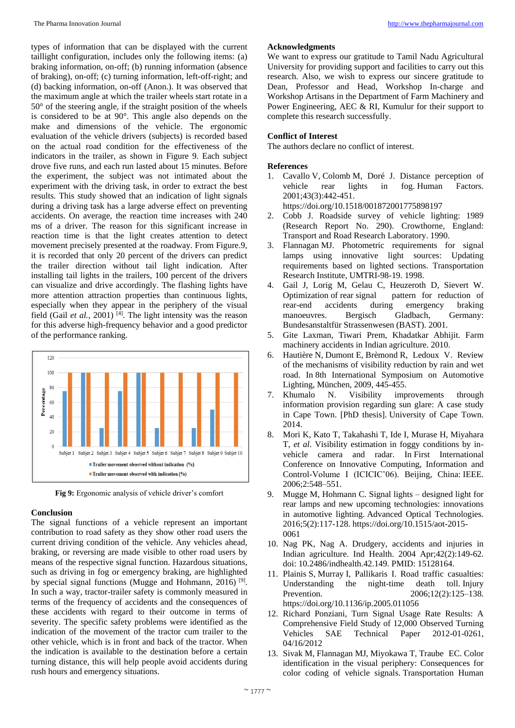types of information that can be displayed with the current taillight configuration, includes only the following items: (a) braking information, on-off; (b) running information (absence of braking), on-off; (c) turning information, left-off-right; and (d) backing information, on-off (Anon.). It was observed that the maximum angle at which the trailer wheels start rotate in a 50° of the steering angle, if the straight position of the wheels is considered to be at 90°. This angle also depends on the make and dimensions of the vehicle. The ergonomic evaluation of the vehicle drivers (subjects) is recorded based on the actual road condition for the effectiveness of the indicators in the trailer, as shown in Figure 9. Each subject drove five runs, and each run lasted about 15 minutes. Before the experiment, the subject was not intimated about the experiment with the driving task, in order to extract the best results. This study showed that an indication of light signals during a driving task has a large adverse effect on preventing accidents. On average, the reaction time increases with 240 ms of a driver. The reason for this significant increase in reaction time is that the light creates attention to detect movement precisely presented at the roadway. From Figure.9, it is recorded that only 20 percent of the drivers can predict the trailer direction without tail light indication. After installing tail lights in the trailers, 100 percent of the drivers can visualize and drive accordingly. The flashing lights have more attention attraction properties than continuous lights, especially when they appear in the periphery of the visual field (Gail *et al.*, 2001)<sup>[4]</sup>. The light intensity was the reason for this adverse high-frequency behavior and a good predictor of the performance ranking.



**Fig 9:** Ergonomic analysis of vehicle driver's comfort

#### **Conclusion**

The signal functions of a vehicle represent an important contribution to road safety as they show other road users the current driving condition of the vehicle. Any vehicles ahead, braking, or reversing are made visible to other road users by means of the respective signal function. Hazardous situations, such as driving in fog or emergency braking, are highlighted by special signal functions (Mugge and Hohmann, 2016)<sup>[9]</sup>. In such a way, tractor-trailer safety is commonly measured in terms of the frequency of accidents and the consequences of these accidents with regard to their outcome in terms of severity. The specific safety problems were identified as the indication of the movement of the tractor cum trailer to the other vehicle, which is in front and back of the tractor. When the indication is available to the destination before a certain turning distance, this will help people avoid accidents during rush hours and emergency situations.

# **Acknowledgments**

We want to express our gratitude to Tamil Nadu Agricultural University for providing support and facilities to carry out this research. Also, we wish to express our sincere gratitude to Dean, Professor and Head, Workshop In-charge and Workshop Artisans in the Department of Farm Machinery and Power Engineering, AEC & RI, Kumulur for their support to complete this research successfully.

# **Conflict of Interest**

The authors declare no conflict of interest.

# **References**

- 1. Cavallo V, Colomb M, Doré J. Distance perception of vehicle rear lights in fog. Human Factors. 2001;43(3):442-451. https://doi.org/10.1518/001872001775898197
- 2. Cobb J. Roadside survey of vehicle lighting: 1989 (Research Report No. 290). Crowthorne, England: Transport and Road Research Laboratory. 1990.
- 3. Flannagan MJ. Photometric requirements for signal lamps using innovative light sources: Updating requirements based on lighted sections. Transportation Research Institute, UMTRI-98-19. 1998.
- 4. Gail J, Lorig M, Gelau C, Heuzeroth D, Sievert W. Optimization of rear signal pattern for reduction of rear-end accidents during emergency braking manoeuvres. Bergisch Gladbach, Germany: Bundesanstaltfür Strassenwesen (BAST). 2001.
- 5. Gite Laxman, Tiwari Prem, Khadatkar Abhijit. Farm machinery accidents in Indian agriculture. 2010.
- 6. Hautière N, Dumont E, Brèmond R, Ledoux V. Review of the mechanisms of visibility reduction by rain and wet road. In 8th International Symposium on Automotive Lighting, München, 2009, 445-455.
- 7. Khumalo N. Visibility improvements through information provision regarding sun glare: A case study in Cape Town. [PhD thesis]. University of Cape Town. 2014.
- 8. Mori K, Kato T, Takahashi T, Ide I, Murase H, Miyahara T, *et al*. Visibility estimation in foggy conditions by invehicle camera and radar. In First International Conference on Innovative Computing, Information and Control-Volume I (ICICIC'06). Beijing, China: IEEE. 2006;2:548–551.
- Mugge M, Hohmann C. Signal lights designed light for rear lamps and new upcoming technologies: innovations in automotive lighting. Advanced Optical Technologies. 2016;5(2):117-128. https://doi.org/10.1515/aot-2015- 0061
- 10. Nag PK, Nag A. Drudgery, accidents and injuries in Indian agriculture. Ind Health. 2004 Apr;42(2):149-62. doi: 10.2486/indhealth.42.149. PMID: 15128164.
- 11. Plainis S, Murray I, Pallikaris I. Road traffic casualties: Understanding the night-time death toll. Injury Prevention. 2006;12(2):125–138. https://doi.org/10.1136/ip.2005.011056
- 12. Richard Ponziani, Turn Signal Usage Rate Results: A Comprehensive Field Study of 12,000 Observed Turning Vehicles SAE Technical Paper 2012-01-0261, 04/16/2012
- 13. Sivak M, Flannagan MJ, Miyokawa T, Traube EC. Color identification in the visual periphery: Consequences for color coding of vehicle signals. Transportation Human